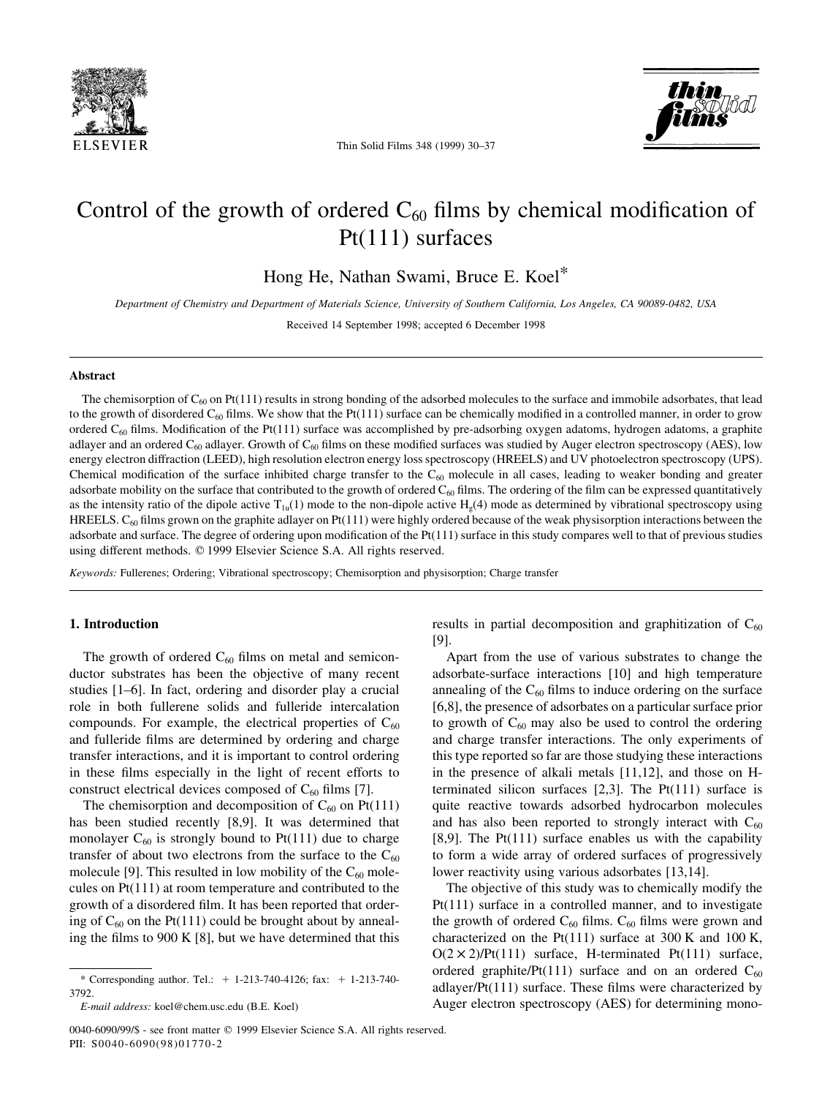

Thin Solid Films 348 (1999) 30-37

# Control of the growth of ordered  $C_{60}$  films by chemical modification of Pt(111) surfaces

Hong He, Nathan Swami, Bruce E. Koel\*

Department of Chemistry and Department of Materials Science, University of Southern California, Los Angeles, CA 90089-0482, USA

Received 14 September 1998; accepted 6 December 1998

#### Abstract

The chemisorption of  $C_{60}$  on Pt(111) results in strong bonding of the adsorbed molecules to the surface and immobile adsorbates, that lead to the growth of disordered  $C_{60}$  films. We show that the Pt(111) surface can be chemically modified in a controlled manner, in order to grow ordered  $C_{60}$  films. Modification of the Pt(111) surface was accomplished by pre-adsorbing oxygen adatoms, hydrogen adatoms, a graphite adlayer and an ordered  $C_{60}$  adlayer. Growth of  $C_{60}$  films on these modified surfaces was studied by Auger electron spectroscopy (AES), low energy electron diffraction (LEED), high resolution electron energy loss spectroscopy (HREELS) and UV photoelectron spectroscopy (UPS). Chemical modification of the surface inhibited charge transfer to the  $C_{60}$  molecule in all cases, leading to weaker bonding and greater adsorbate mobility on the surface that contributed to the growth of ordered  $C_{60}$  films. The ordering of the film can be expressed quantitatively as the intensity ratio of the dipole active  $T_{1u}(1)$  mode to the non-dipole active  $H_e(4)$  mode as determined by vibrational spectroscopy using HREELS.  $C_{60}$  films grown on the graphite adlayer on Pt(111) were highly ordered because of the weak physisorption interactions between the adsorbate and surface. The degree of ordering upon modification of the Pt(111) surface in this study compares well to that of previous studies using different methods.  $© 1999$  Elsevier Science S.A. All rights reserved.

Keywords: Fullerenes; Ordering; Vibrational spectroscopy; Chemisorption and physisorption; Charge transfer

#### 1. Introduction

The growth of ordered  $C_{60}$  films on metal and semiconductor substrates has been the objective of many recent studies  $[1-6]$ . In fact, ordering and disorder play a crucial role in both fullerene solids and fulleride intercalation compounds. For example, the electrical properties of  $C_{60}$ and fulleride films are determined by ordering and charge transfer interactions, and it is important to control ordering in these films especially in the light of recent efforts to construct electrical devices composed of  $C_{60}$  films [7].

The chemisorption and decomposition of  $C_{60}$  on Pt(111) has been studied recently [8,9]. It was determined that monolayer  $C_{60}$  is strongly bound to Pt(111) due to charge transfer of about two electrons from the surface to the  $C_{60}$ molecule [9]. This resulted in low mobility of the  $C_{60}$  molecules on Pt(111) at room temperature and contributed to the growth of a disordered film. It has been reported that ordering of  $C_{60}$  on the Pt(111) could be brought about by annealing the films to 900 K  $[8]$ , but we have determined that this results in partial decomposition and graphitization of  $C_{60}$ [9].

Apart from the use of various substrates to change the adsorbate-surface interactions [10] and high temperature annealing of the  $C_{60}$  films to induce ordering on the surface [6,8], the presence of adsorbates on a particular surface prior to growth of  $C_{60}$  may also be used to control the ordering and charge transfer interactions. The only experiments of this type reported so far are those studying these interactions in the presence of alkali metals [11,12], and those on Hterminated silicon surfaces [2,3]. The Pt(111) surface is quite reactive towards adsorbed hydrocarbon molecules and has also been reported to strongly interact with  $C_{60}$ [8,9]. The Pt $(111)$  surface enables us with the capability to form a wide array of ordered surfaces of progressively lower reactivity using various adsorbates [13,14].

The objective of this study was to chemically modify the Pt(111) surface in a controlled manner, and to investigate the growth of ordered  $C_{60}$  films.  $C_{60}$  films were grown and characterized on the Pt(111) surface at 300 K and 100 K,  $O(2 \times 2)/Pt(111)$  surface, H-terminated Pt(111) surface, ordered graphite/Pt(111) surface and on an ordered  $C_{60}$ adlayer/Pt $(111)$  surface. These films were characterized by Auger electron spectroscopy (AES) for determining mono-

<sup>\*</sup> Corresponding author. Tel.: 1 1-213-740-4126; fax: 1 1-213-740- 3792.

E-mail address: koel@chem.usc.edu (B.E. Koel)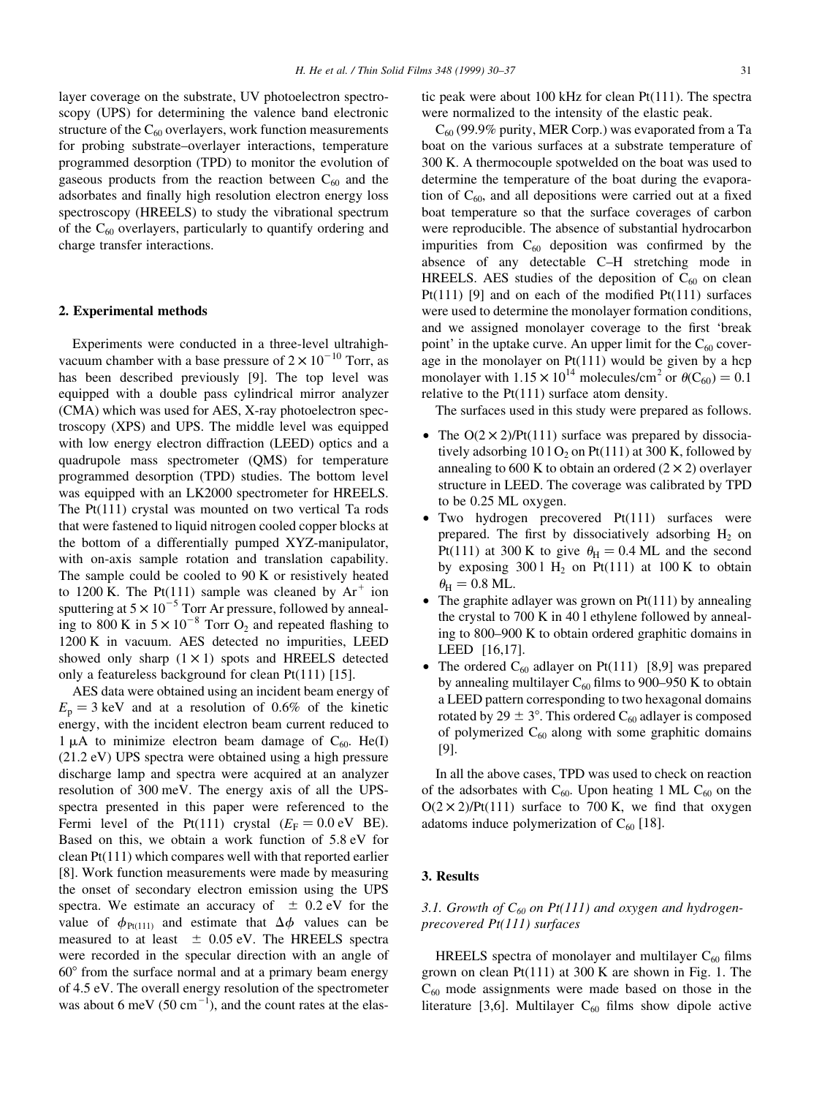layer coverage on the substrate, UV photoelectron spectroscopy (UPS) for determining the valence band electronic structure of the  $C_{60}$  overlayers, work function measurements for probing substrate-overlayer interactions, temperature programmed desorption (TPD) to monitor the evolution of gaseous products from the reaction between  $C_{60}$  and the adsorbates and finally high resolution electron energy loss spectroscopy (HREELS) to study the vibrational spectrum of the  $C_{60}$  overlayers, particularly to quantify ordering and charge transfer interactions.

## 2. Experimental methods

Experiments were conducted in a three-level ultrahighvacuum chamber with a base pressure of  $2 \times 10^{-10}$  Torr, as has been described previously [9]. The top level was equipped with a double pass cylindrical mirror analyzer (CMA) which was used for AES, X-ray photoelectron spectroscopy (XPS) and UPS. The middle level was equipped with low energy electron diffraction (LEED) optics and a quadrupole mass spectrometer (QMS) for temperature programmed desorption (TPD) studies. The bottom level was equipped with an LK2000 spectrometer for HREELS. The Pt(111) crystal was mounted on two vertical Ta rods that were fastened to liquid nitrogen cooled copper blocks at the bottom of a differentially pumped XYZ-manipulator, with on-axis sample rotation and translation capability. The sample could be cooled to 90 K or resistively heated to 1200 K. The Pt(111) sample was cleaned by  $Ar^+$  ion sputtering at  $5 \times 10^{-5}$  Torr Ar pressure, followed by annealing to 800 K in  $5 \times 10^{-8}$  Torr O<sub>2</sub> and repeated flashing to 1200 K in vacuum. AES detected no impurities, LEED showed only sharp  $(1 \times 1)$  spots and HREELS detected only a featureless background for clean Pt(111) [15].

AES data were obtained using an incident beam energy of  $E_p = 3$  keV and at a resolution of 0.6% of the kinetic energy, with the incident electron beam current reduced to 1  $\mu$ A to minimize electron beam damage of C<sub>60</sub>. He(I) (21.2 eV) UPS spectra were obtained using a high pressure discharge lamp and spectra were acquired at an analyzer resolution of 300 meV. The energy axis of all the UPSspectra presented in this paper were referenced to the Fermi level of the Pt(111) crystal  $(E_F = 0.0 \text{ eV} \text{ BE})$ . Based on this, we obtain a work function of 5.8 eV for clean Pt(111) which compares well with that reported earlier [8]. Work function measurements were made by measuring the onset of secondary electron emission using the UPS spectra. We estimate an accuracy of  $\pm$  0.2 eV for the value of  $\phi_{Pt(111)}$  and estimate that  $\Delta \phi$  values can be measured to at least  $\pm$  0.05 eV. The HREELS spectra were recorded in the specular direction with an angle of  $60^\circ$  from the surface normal and at a primary beam energy of 4.5 eV. The overall energy resolution of the spectrometer was about 6 meV (50  $\text{cm}^{-1}$ ), and the count rates at the elastic peak were about 100 kHz for clean Pt(111). The spectra were normalized to the intensity of the elastic peak.

 $C_{60}$  (99.9% purity, MER Corp.) was evaporated from a Ta boat on the various surfaces at a substrate temperature of 300 K. A thermocouple spotwelded on the boat was used to determine the temperature of the boat during the evaporation of  $C_{60}$ , and all depositions were carried out at a fixed boat temperature so that the surface coverages of carbon were reproducible. The absence of substantial hydrocarbon impurities from  $C_{60}$  deposition was confirmed by the absence of any detectable C-H stretching mode in HREELS. AES studies of the deposition of  $C_{60}$  on clean Pt(111) [9] and on each of the modified Pt(111) surfaces were used to determine the monolayer formation conditions, and we assigned monolayer coverage to the first 'break point' in the uptake curve. An upper limit for the  $C_{60}$  coverage in the monolayer on Pt(111) would be given by a hcp monolayer with  $1.15 \times 10^{14}$  molecules/cm<sup>2</sup> or  $\theta(C_{60}) = 0.1$ relative to the Pt(111) surface atom density.

The surfaces used in this study were prepared as follows.

- The  $O(2 \times 2)/Pt(111)$  surface was prepared by dissociatively adsorbing  $101O<sub>2</sub>$  on Pt(111) at 300 K, followed by annealing to 600 K to obtain an ordered  $(2 \times 2)$  overlayer structure in LEED. The coverage was calibrated by TPD to be 0.25 ML oxygen.
- $\bullet$  Two hydrogen precovered Pt $(111)$  surfaces were prepared. The first by dissociatively adsorbing  $H_2$  on Pt(111) at 300 K to give  $\theta_H = 0.4$  ML and the second by exposing  $3001 H_2$  on Pt(111) at 100 K to obtain  $\theta_{\rm H} = 0.8$  ML.
- The graphite adlayer was grown on  $Pt(111)$  by annealing the crystal to 700 K in 40 l ethylene followed by annealing to 800–900 K to obtain ordered graphitic domains in LEED [16,17].
- The ordered  $C_{60}$  adlayer on Pt(111) [8,9] was prepared by annealing multilayer  $C_{60}$  films to 900–950 K to obtain a LEED pattern corresponding to two hexagonal domains rotated by 29  $\pm$  3°. This ordered C<sub>60</sub> adlayer is composed of polymerized  $C_{60}$  along with some graphitic domains [9].

In all the above cases, TPD was used to check on reaction of the adsorbates with  $C_{60}$ . Upon heating 1 ML  $C_{60}$  on the  $O(2 \times 2)/Pt(111)$  surface to 700 K, we find that oxygen adatoms induce polymerization of  $C_{60}$  [18].

## 3. Results

## 3.1. Growth of  $C_{60}$  on Pt(111) and oxygen and hydrogenprecovered Pt(111) surfaces

HREELS spectra of monolayer and multilayer  $C_{60}$  films grown on clean Pt(111) at 300 K are shown in Fig. 1. The  $C_{60}$  mode assignments were made based on those in the literature [3,6]. Multilayer  $C_{60}$  films show dipole active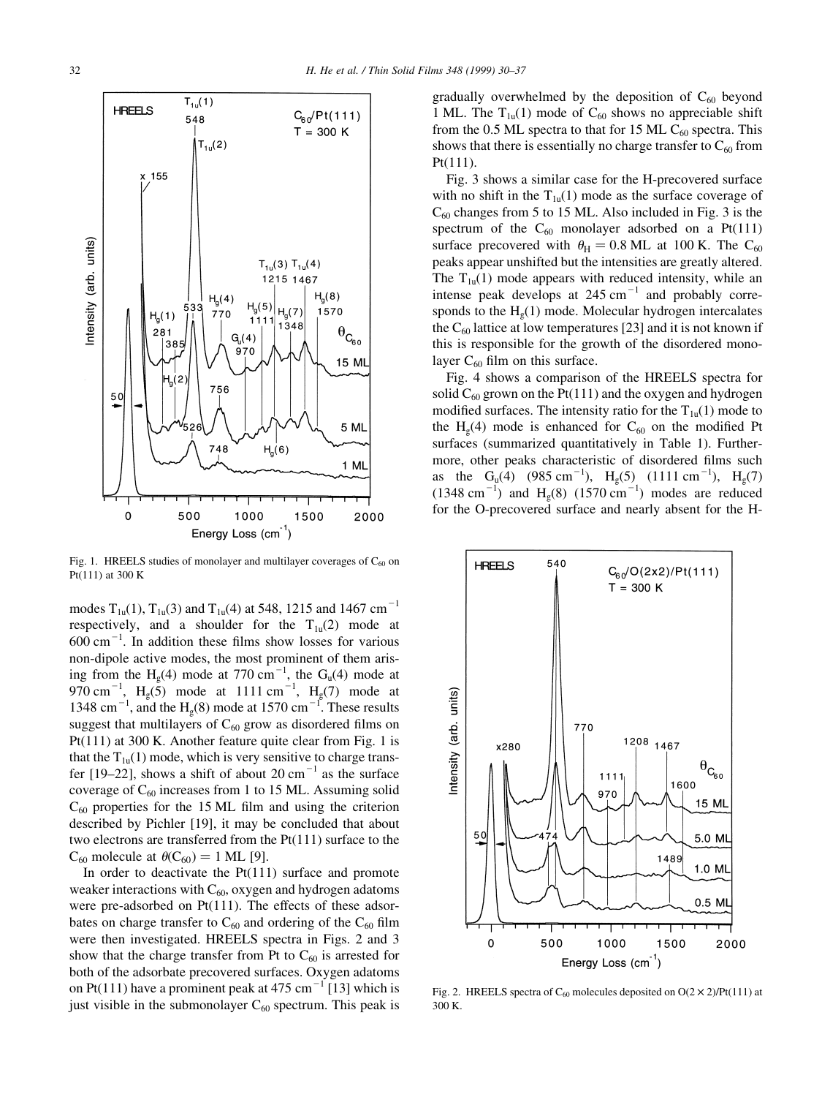

Fig. 1. HREELS studies of monolayer and multilayer coverages of  $C_{60}$  on Pt(111) at 300 K

modes  $T_{1u}(1)$ ,  $T_{1u}(3)$  and  $T_{1u}(4)$  at 548, 1215 and 1467 cm<sup>-1</sup> respectively, and a shoulder for the  $T_{1u}(2)$  mode at  $600 \text{ cm}^{-1}$ . In addition these films show losses for various non-dipole active modes, the most prominent of them arising from the H<sub>g</sub>(4) mode at 770 cm<sup>-1</sup>, the G<sub>u</sub>(4) mode at 970 cm<sup>-1</sup>, H<sub>g</sub>(5) mode at 1111 cm<sup>-1</sup>, H<sub>g</sub>(7) mode at 1348 cm<sup>-1</sup>, and the H<sub>g</sub>(8) mode at 1570 cm<sup>-1</sup>. These results suggest that multilayers of  $C_{60}$  grow as disordered films on Pt(111) at 300 K. Another feature quite clear from Fig. 1 is that the  $T_{1u}(1)$  mode, which is very sensitive to charge transfer [19-22], shows a shift of about 20 cm<sup>-1</sup> as the surface coverage of  $C_{60}$  increases from 1 to 15 ML. Assuming solid  $C_{60}$  properties for the 15 ML film and using the criterion described by Pichler [19], it may be concluded that about two electrons are transferred from the Pt(111) surface to the  $C_{60}$  molecule at  $\theta(C_{60}) = 1$  ML [9].

In order to deactivate the  $Pt(111)$  surface and promote weaker interactions with  $C_{60}$ , oxygen and hydrogen adatoms were pre-adsorbed on Pt(111). The effects of these adsorbates on charge transfer to  $C_{60}$  and ordering of the  $C_{60}$  film were then investigated. HREELS spectra in Figs. 2 and 3 show that the charge transfer from Pt to  $C_{60}$  is arrested for both of the adsorbate precovered surfaces. Oxygen adatoms on Pt(111) have a prominent peak at 475 cm<sup>-1</sup> [13] which is just visible in the submonolayer  $C_{60}$  spectrum. This peak is gradually overwhelmed by the deposition of  $C_{60}$  beyond 1 ML. The  $T_{1u}(1)$  mode of  $C_{60}$  shows no appreciable shift from the 0.5 ML spectra to that for 15 ML  $C_{60}$  spectra. This shows that there is essentially no charge transfer to  $C_{60}$  from Pt(111).

Fig. 3 shows a similar case for the H-precovered surface with no shift in the  $T_{1u}(1)$  mode as the surface coverage of  $C_{60}$  changes from 5 to 15 ML. Also included in Fig. 3 is the spectrum of the  $C_{60}$  monolayer adsorbed on a Pt(111) surface precovered with  $\theta_H = 0.8$  ML at 100 K. The C<sub>60</sub> peaks appear unshifted but the intensities are greatly altered. The  $T_{1u}(1)$  mode appears with reduced intensity, while an intense peak develops at  $245 \text{ cm}^{-1}$  and probably corresponds to the  $H<sub>g</sub>(1)$  mode. Molecular hydrogen intercalates the  $C_{60}$  lattice at low temperatures [23] and it is not known if this is responsible for the growth of the disordered monolayer  $C_{60}$  film on this surface.

Fig. 4 shows a comparison of the HREELS spectra for solid  $C_{60}$  grown on the Pt(111) and the oxygen and hydrogen modified surfaces. The intensity ratio for the  $T_{1u}(1)$  mode to the H<sub>g</sub>(4) mode is enhanced for C<sub>60</sub> on the modified Pt surfaces (summarized quantitatively in Table 1). Furthermore, other peaks characteristic of disordered films such as the G<sub>u</sub>(4) (985 cm<sup>-1</sup>), H<sub>g</sub>(5) (1111 cm<sup>-1</sup>), H<sub>g</sub>(7)  $(1348 \text{ cm}^{-1})$  and H<sub>g</sub>(8)  $(1570 \text{ cm}^{-1})$  modes are reduced for the O-precovered surface and nearly absent for the H-



Fig. 2. HREELS spectra of  $C_{60}$  molecules deposited on  $O(2 \times 2)/Pt(111)$  at 300 K.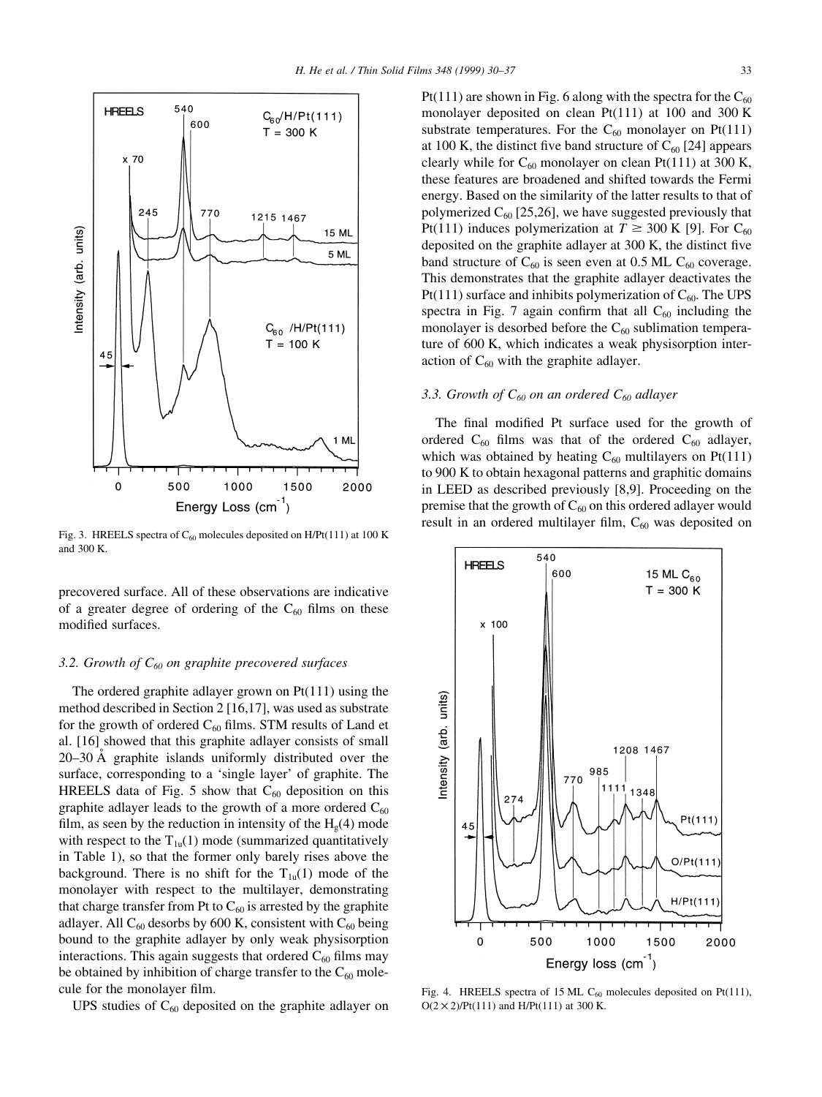

Fig. 3. HREELS spectra of  $C_{60}$  molecules deposited on H/Pt(111) at 100 K and 300 K.

precovered surface. All of these observations are indicative of a greater degree of ordering of the  $C_{60}$  films on these modified surfaces.

## 3.2. Growth of  $C_{60}$  on graphite precovered surfaces

The ordered graphite adlayer grown on Pt(111) using the method described in Section 2 [16,17], was used as substrate for the growth of ordered  $C_{60}$  films. STM results of Land et al. [16] showed that this graphite adlayer consists of small  $20-30$  Å graphite islands uniformly distributed over the surface, corresponding to a 'single layer' of graphite. The HREELS data of Fig. 5 show that  $C_{60}$  deposition on this graphite adlayer leads to the growth of a more ordered  $C_{60}$ film, as seen by the reduction in intensity of the  $H<sub>g</sub>(4)$  mode with respect to the  $T_{1u}(1)$  mode (summarized quantitatively in Table 1), so that the former only barely rises above the background. There is no shift for the  $T_{1u}(1)$  mode of the monolayer with respect to the multilayer, demonstrating that charge transfer from Pt to  $C_{60}$  is arrested by the graphite adlayer. All  $C_{60}$  desorbs by 600 K, consistent with  $C_{60}$  being bound to the graphite adlayer by only weak physisorption interactions. This again suggests that ordered  $C_{60}$  films may be obtained by inhibition of charge transfer to the  $C_{60}$  molecule for the monolayer film.

UPS studies of  $C_{60}$  deposited on the graphite adlayer on

Pt(111) are shown in Fig. 6 along with the spectra for the  $C_{60}$ monolayer deposited on clean Pt(111) at 100 and 300 K substrate temperatures. For the  $C_{60}$  monolayer on Pt(111) at 100 K, the distinct five band structure of  $C_{60}$  [24] appears clearly while for  $C_{60}$  monolayer on clean Pt(111) at 300 K, these features are broadened and shifted towards the Fermi energy. Based on the similarity of the latter results to that of polymerized  $C_{60}$  [25,26], we have suggested previously that Pt(111) induces polymerization at  $T \ge 300$  K [9]. For C<sub>60</sub> deposited on the graphite adlayer at  $300$  K, the distinct five band structure of  $C_{60}$  is seen even at 0.5 ML  $C_{60}$  coverage. This demonstrates that the graphite adlayer deactivates the Pt(111) surface and inhibits polymerization of  $C_{60}$ . The UPS spectra in Fig. 7 again confirm that all  $C_{60}$  including the monolayer is desorbed before the  $C_{60}$  sublimation temperature of 600 K, which indicates a weak physisorption interaction of  $C_{60}$  with the graphite adlayer.

## 3.3. Growth of  $C_{60}$  on an ordered  $C_{60}$  adlayer

The final modified Pt surface used for the growth of ordered  $C_{60}$  films was that of the ordered  $C_{60}$  adlayer, which was obtained by heating  $C_{60}$  multilayers on Pt(111) to 900 K to obtain hexagonal patterns and graphitic domains in LEED as described previously [8,9]. Proceeding on the premise that the growth of  $C_{60}$  on this ordered adlayer would result in an ordered multilayer film,  $C_{60}$  was deposited on



Fig. 4. HREELS spectra of 15 ML  $C_{60}$  molecules deposited on Pt(111),  $O(2 \times 2)/Pt(111)$  and H/Pt(111) at 300 K.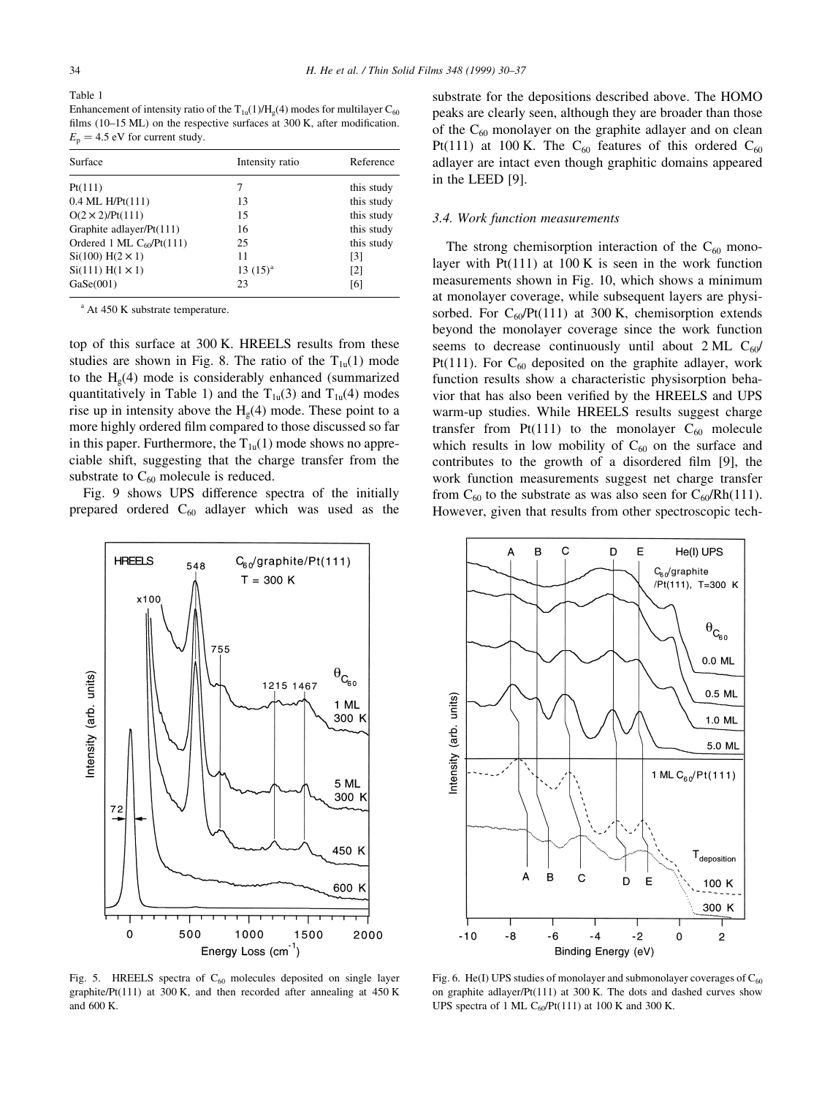Table 1 Enhancement of intensity ratio of the  $T_{1u}(1)/H_{\rho}(4)$  modes for multilayer  $C_{60}$ films (10 $-15$  ML) on the respective surfaces at 300 K, after modification.  $E_p = 4.5$  eV for current study.

| Surface                           | Intensity ratio | Reference         |
|-----------------------------------|-----------------|-------------------|
| Pt(111)                           |                 | this study        |
| $0.4$ ML $H/Pt(111)$              | 13              | this study        |
| $O(2 \times 2)/Pt(111)$           | 15              | this study        |
| Graphite adlayer/Pt(111)          | 16              | this study        |
| Ordered 1 ML $C_{60}$ /Pt $(111)$ | 25              | this study        |
| $Si(100) H(2 \times 1)$           | 11              | [3]               |
| $Si(111) H(1 \times 1)$           | $13(15)^{a}$    | $\lceil 2 \rceil$ |
| GaSe(001)                         | 23              | [6]               |

<sup>a</sup> At 450 K substrate temperature.

top of this surface at 300 K. HREELS results from these studies are shown in Fig. 8. The ratio of the  $T_{1u}(1)$  mode to the  $H<sub>g</sub>(4)$  mode is considerably enhanced (summarized quantitatively in Table 1) and the  $T_{1u}(3)$  and  $T_{1u}(4)$  modes rise up in intensity above the  $H<sub>g</sub>(4)$  mode. These point to a more highly ordered film compared to those discussed so far in this paper. Furthermore, the  $T_{1u}(1)$  mode shows no appreciable shift, suggesting that the charge transfer from the substrate to  $C_{60}$  molecule is reduced.

Fig. 9 shows UPS difference spectra of the initially prepared ordered  $C_{60}$  adlayer which was used as the



Fig. 5. HREELS spectra of  $C_{60}$  molecules deposited on single layer graphite/Pt(111) at 300 K, and then recorded after annealing at  $450$  K and 600 K.

substrate for the depositions described above. The HOMO peaks are clearly seen, although they are broader than those of the  $C_{60}$  monolayer on the graphite adlayer and on clean Pt(111) at 100 K. The  $C_{60}$  features of this ordered  $C_{60}$ adlayer are intact even though graphitic domains appeared in the LEED [9].

#### 3.4. Work function measurements

The strong chemisorption interaction of the  $C_{60}$  monolayer with  $Pt(111)$  at 100 K is seen in the work function measurements shown in Fig. 10, which shows a minimum at monolayer coverage, while subsequent layers are physisorbed. For  $C_{60}$ /Pt(111) at 300 K, chemisorption extends beyond the monolayer coverage since the work function seems to decrease continuously until about  $2 \text{ ML } C_{60}$ Pt(111). For  $C_{60}$  deposited on the graphite adlayer, work function results show a characteristic physisorption behavior that has also been verified by the HREELS and UPS warm-up studies. While HREELS results suggest charge transfer from Pt(111) to the monolayer  $C_{60}$  molecule which results in low mobility of  $C_{60}$  on the surface and contributes to the growth of a disordered film  $[9]$ , the work function measurements suggest net charge transfer from  $C_{60}$  to the substrate as was also seen for  $C_{60}$ /Rh(111). However, given that results from other spectroscopic tech-



Fig. 6. He(I) UPS studies of monolayer and submonolayer coverages of  $C_{60}$ on graphite adlayer/Pt(111) at 300 K. The dots and dashed curves show UPS spectra of 1 ML  $C_{60}$ /Pt(111) at 100 K and 300 K.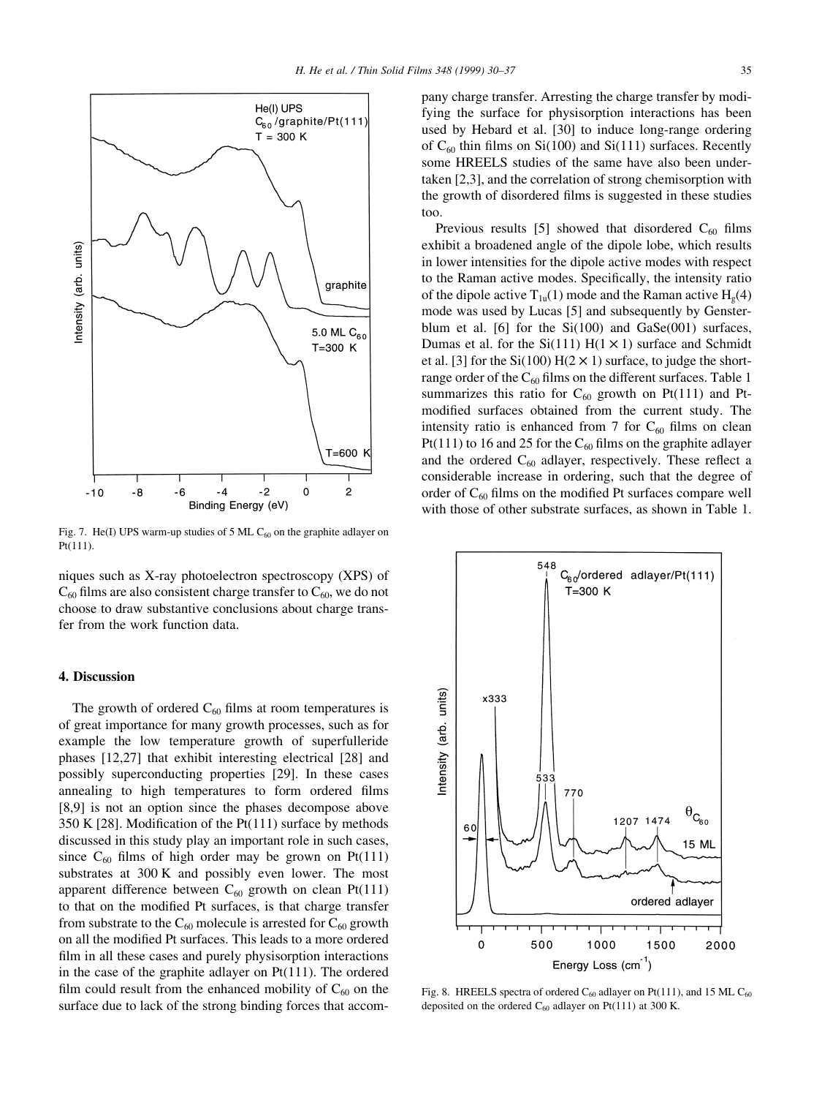

Fig. 7. He(I) UPS warm-up studies of 5 ML  $C_{60}$  on the graphite adlayer on Pt(111).

niques such as X-ray photoelectron spectroscopy (XPS) of  $C_{60}$  films are also consistent charge transfer to  $C_{60}$ , we do not choose to draw substantive conclusions about charge transfer from the work function data.

## 4. Discussion

The growth of ordered  $C_{60}$  films at room temperatures is of great importance for many growth processes, such as for example the low temperature growth of superfulleride phases [12,27] that exhibit interesting electrical [28] and possibly superconducting properties [29]. In these cases annealing to high temperatures to form ordered films [8,9] is not an option since the phases decompose above 350 K [28]. Modification of the Pt $(111)$  surface by methods discussed in this study play an important role in such cases, since  $C_{60}$  films of high order may be grown on Pt(111) substrates at 300 K and possibly even lower. The most apparent difference between  $C_{60}$  growth on clean Pt(111) to that on the modified Pt surfaces, is that charge transfer from substrate to the  $C_{60}$  molecule is arrested for  $C_{60}$  growth on all the modified Pt surfaces. This leads to a more ordered film in all these cases and purely physisorption interactions in the case of the graphite adlayer on Pt(111). The ordered film could result from the enhanced mobility of  $C_{60}$  on the surface due to lack of the strong binding forces that accompany charge transfer. Arresting the charge transfer by modifying the surface for physisorption interactions has been used by Hebard et al. [30] to induce long-range ordering of  $C_{60}$  thin films on Si(100) and Si(111) surfaces. Recently some HREELS studies of the same have also been undertaken [2,3], and the correlation of strong chemisorption with the growth of disordered films is suggested in these studies too.

Previous results [5] showed that disordered  $C_{60}$  films exhibit a broadened angle of the dipole lobe, which results in lower intensities for the dipole active modes with respect to the Raman active modes. Specifically, the intensity ratio of the dipole active  $T_{1u}(1)$  mode and the Raman active  $H_{g}(4)$ mode was used by Lucas [5] and subsequently by Gensterblum et al. [6] for the  $Si(100)$  and  $GaSe(001)$  surfaces, Dumas et al. for the  $Si(111) H(1 \times 1)$  surface and Schmidt et al. [3] for the Si(100)  $H(2 \times 1)$  surface, to judge the shortrange order of the  $C_{60}$  films on the different surfaces. Table 1 summarizes this ratio for  $C_{60}$  growth on Pt(111) and Ptmodified surfaces obtained from the current study. The intensity ratio is enhanced from 7 for  $C_{60}$  films on clean Pt(111) to 16 and 25 for the  $C_{60}$  films on the graphite adlayer and the ordered  $C_{60}$  adlayer, respectively. These reflect a considerable increase in ordering, such that the degree of order of  $C_{60}$  films on the modified Pt surfaces compare well with those of other substrate surfaces, as shown in Table 1.



Fig. 8. HREELS spectra of ordered  $C_{60}$  adlayer on Pt(111), and 15 ML  $C_{60}$ deposited on the ordered  $C_{60}$  adlayer on Pt(111) at 300 K.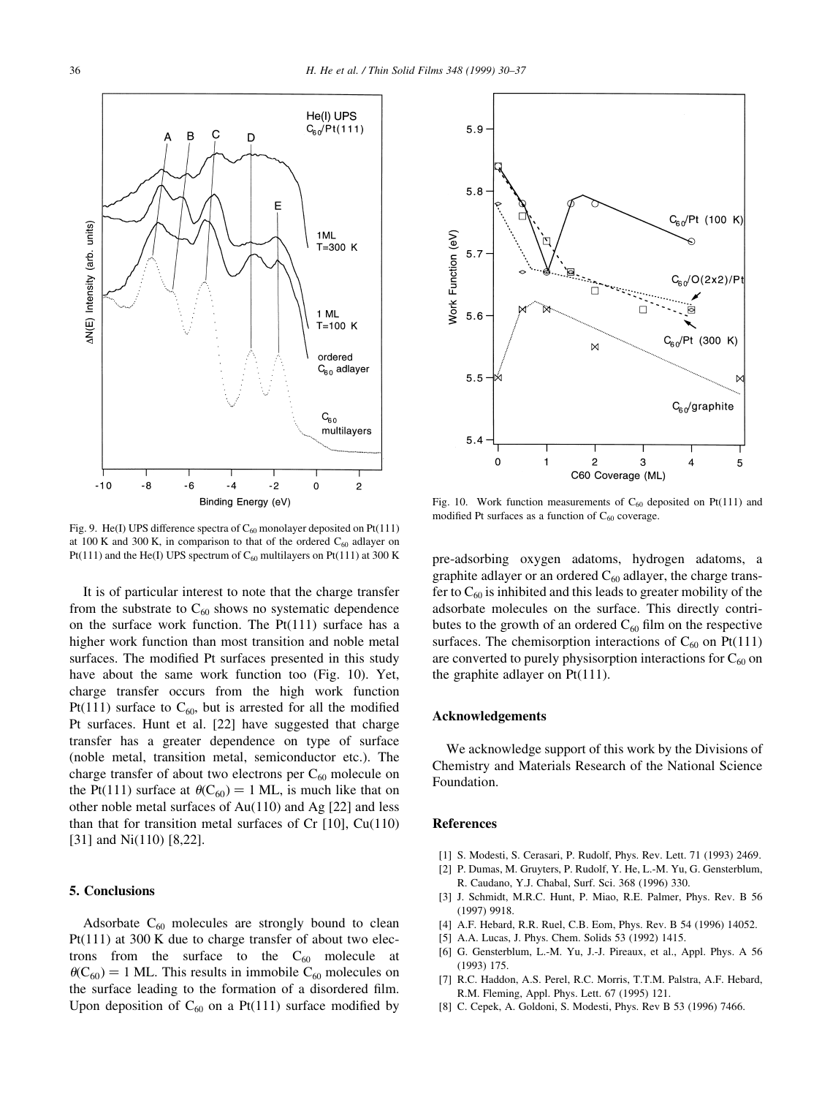

Fig. 9. He(I) UPS difference spectra of  $C_{60}$  monolayer deposited on Pt(111) at 100 K and 300 K, in comparison to that of the ordered  $C_{60}$  adlayer on Pt(111) and the He(I) UPS spectrum of  $C_{60}$  multilayers on Pt(111) at 300 K

It is of particular interest to note that the charge transfer from the substrate to  $C_{60}$  shows no systematic dependence on the surface work function. The Pt(111) surface has a higher work function than most transition and noble metal surfaces. The modified Pt surfaces presented in this study have about the same work function too (Fig. 10). Yet, charge transfer occurs from the high work function Pt(111) surface to  $C_{60}$ , but is arrested for all the modified Pt surfaces. Hunt et al. [22] have suggested that charge transfer has a greater dependence on type of surface (noble metal, transition metal, semiconductor etc.). The charge transfer of about two electrons per  $C_{60}$  molecule on the Pt(111) surface at  $\theta(C_{60}) = 1$  ML, is much like that on other noble metal surfaces of Au(110) and Ag [22] and less than that for transition metal surfaces of Cr  $[10]$ , Cu $(110)$ [31] and Ni(110) [8,22].

#### 5. Conclusions

Adsorbate  $C_{60}$  molecules are strongly bound to clean Pt(111) at 300 K due to charge transfer of about two electrons from the surface to the  $C_{60}$  molecule at  $\theta(C_{60}) = 1$  ML. This results in immobile C<sub>60</sub> molecules on the surface leading to the formation of a disordered film. Upon deposition of  $C_{60}$  on a Pt(111) surface modified by



Fig. 10. Work function measurements of  $C_{60}$  deposited on Pt(111) and modified Pt surfaces as a function of  $C_{60}$  coverage.

pre-adsorbing oxygen adatoms, hydrogen adatoms, a graphite adlayer or an ordered  $C_{60}$  adlayer, the charge transfer to  $C_{60}$  is inhibited and this leads to greater mobility of the adsorbate molecules on the surface. This directly contributes to the growth of an ordered  $C_{60}$  film on the respective surfaces. The chemisorption interactions of  $C_{60}$  on Pt(111) are converted to purely physisorption interactions for  $C_{60}$  on the graphite adlayer on Pt(111).

## Acknowledgements

We acknowledge support of this work by the Divisions of Chemistry and Materials Research of the National Science Foundation.

#### References

- [1] S. Modesti, S. Cerasari, P. Rudolf, Phys. Rev. Lett. 71 (1993) 2469.
- [2] P. Dumas, M. Gruyters, P. Rudolf, Y. He, L.-M. Yu, G. Gensterblum, R. Caudano, Y.J. Chabal, Surf. Sci. 368 (1996) 330.
- [3] J. Schmidt, M.R.C. Hunt, P. Miao, R.E. Palmer, Phys. Rev. B 56 (1997) 9918.
- [4] A.F. Hebard, R.R. Ruel, C.B. Eom, Phys. Rev. B 54 (1996) 14052.
- [5] A.A. Lucas, J. Phys. Chem. Solids 53 (1992) 1415.
- [6] G. Gensterblum, L.-M. Yu, J.-J. Pireaux, et al., Appl. Phys. A 56 (1993) 175.
- [7] R.C. Haddon, A.S. Perel, R.C. Morris, T.T.M. Palstra, A.F. Hebard, R.M. Fleming, Appl. Phys. Lett. 67 (1995) 121.
- [8] C. Cepek, A. Goldoni, S. Modesti, Phys. Rev B 53 (1996) 7466.